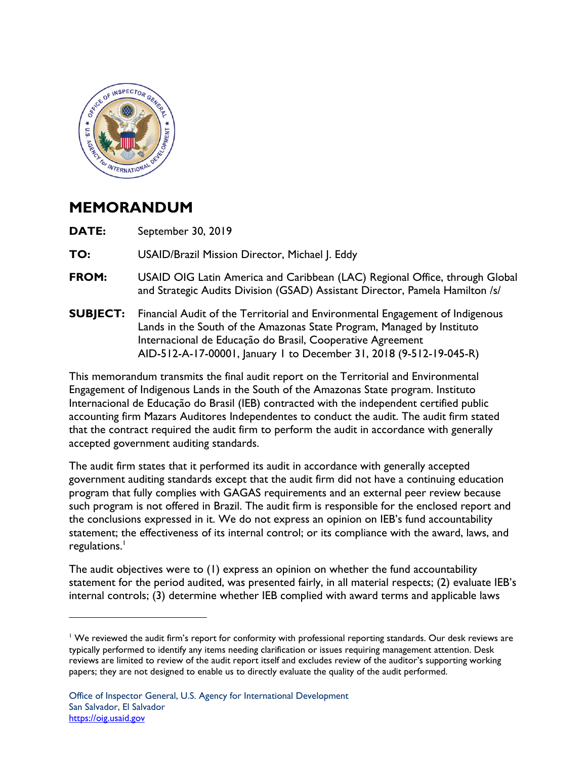

## **MEMORANDUM**

<u>.</u>

**DATE:** September 30, 2019

TO: **TO:** USAID/Brazil Mission Director, Michael J. Eddy

- **FROM:** USAID OIG Latin America and Caribbean (LAC) Regional Office, through Global and Strategic Audits Division (GSAD) Assistant Director, Pamela Hamilton /s/
- **SUBJECT:** Financial Audit of the Territorial and Environmental Engagement of Indigenous Lands in the South of the Amazonas State Program, Managed by Instituto Internacional de Educação do Brasil, Cooperative Agreement AID-512-A-17-00001, January 1 to December 31, 2018 (9-512-19-045-R)

This memorandum transmits the final audit report on the Territorial and Environmental Engagement of Indigenous Lands in the South of the Amazonas State program. Instituto Internacional de Educação do Brasil (IEB) contracted with the independent certified public accounting firm Mazars Auditores Independentes to conduct the audit. The audit firm stated that the contract required the audit firm to perform the audit in accordance with generally accepted government auditing standards.

regulations.<sup>1</sup> The audit firm states that it performed its audit in accordance with generally accepted government auditing standards except that the audit firm did not have a continuing education program that fully complies with GAGAS requirements and an external peer review because such program is not offered in Brazil. The audit firm is responsible for the enclosed report and the conclusions expressed in it. We do not express an opinion on IEB's fund accountability statement; the effectiveness of its internal control; or its compliance with the award, laws, and

The audit objectives were to (1) express an opinion on whether the fund accountability statement for the period audited, was presented fairly, in all material respects; (2) evaluate IEB's internal controls; (3) determine whether IEB complied with award terms and applicable laws

<sup>&</sup>lt;sup>1</sup> We reviewed the audit firm's report for conformity with professional reporting standards. Our desk reviews are typically performed to identify any items needing clarification or issues requiring management attention. Desk reviews are limited to review of the audit report itself and excludes review of the auditor's supporting working papers; they are not designed to enable us to directly evaluate the quality of the audit performed.